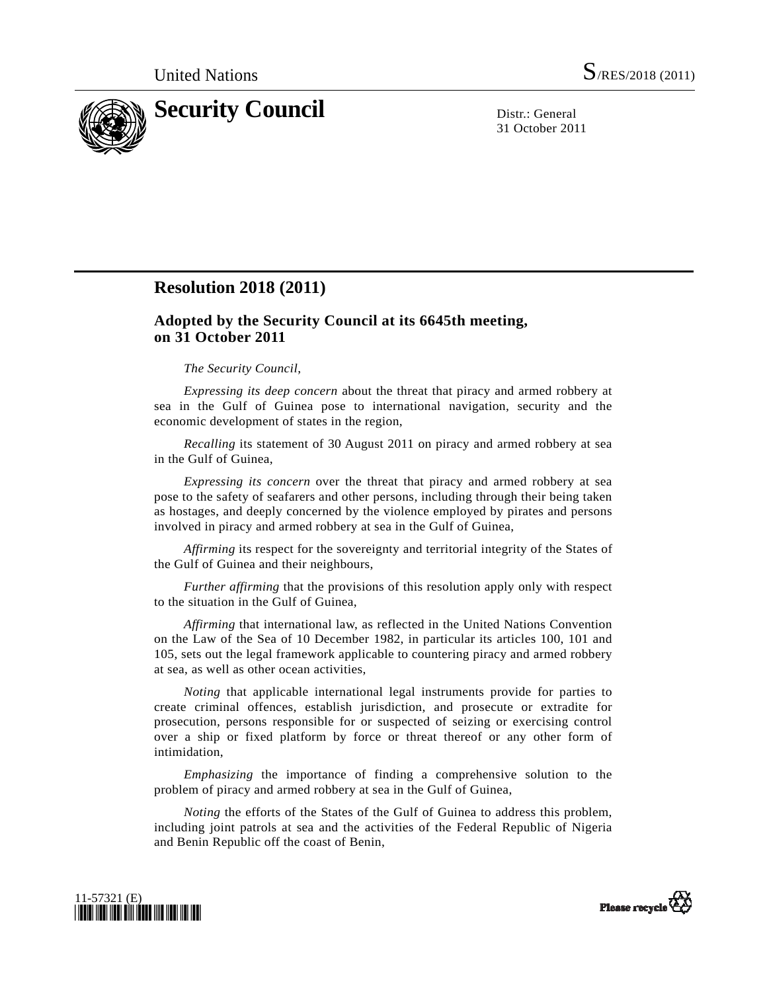

31 October 2011

## **Resolution 2018 (2011)**

## **Adopted by the Security Council at its 6645th meeting, on 31 October 2011**

## *The Security Council*,

*Expressing its deep concern* about the threat that piracy and armed robbery at sea in the Gulf of Guinea pose to international navigation, security and the economic development of states in the region,

*Recalling* its statement of 30 August 2011 on piracy and armed robbery at sea in the Gulf of Guinea,

*Expressing its concern* over the threat that piracy and armed robbery at sea pose to the safety of seafarers and other persons, including through their being taken as hostages, and deeply concerned by the violence employed by pirates and persons involved in piracy and armed robbery at sea in the Gulf of Guinea,

*Affirming* its respect for the sovereignty and territorial integrity of the States of the Gulf of Guinea and their neighbours,

*Further affirming* that the provisions of this resolution apply only with respect to the situation in the Gulf of Guinea,

*Affirming* that international law, as reflected in the United Nations Convention on the Law of the Sea of 10 December 1982, in particular its articles 100, 101 and 105, sets out the legal framework applicable to countering piracy and armed robbery at sea, as well as other ocean activities,

*Noting* that applicable international legal instruments provide for parties to create criminal offences, establish jurisdiction, and prosecute or extradite for prosecution, persons responsible for or suspected of seizing or exercising control over a ship or fixed platform by force or threat thereof or any other form of intimidation,

*Emphasizing* the importance of finding a comprehensive solution to the problem of piracy and armed robbery at sea in the Gulf of Guinea,

*Noting* the efforts of the States of the Gulf of Guinea to address this problem, including joint patrols at sea and the activities of the Federal Republic of Nigeria and Benin Republic off the coast of Benin,



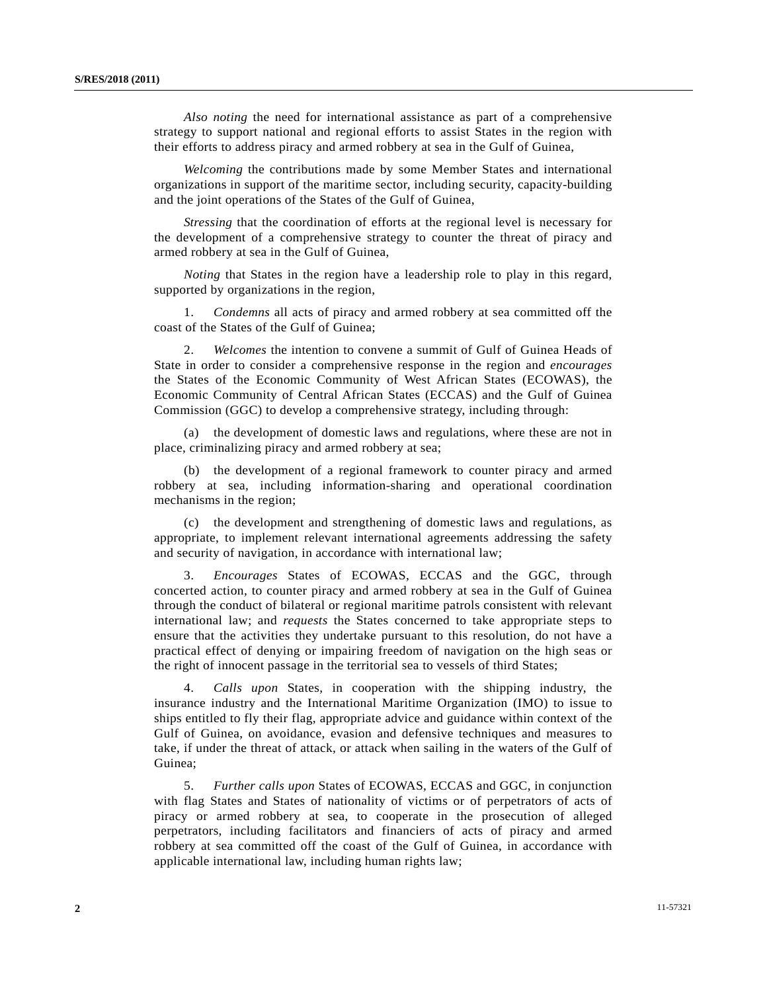*Also noting* the need for international assistance as part of a comprehensive strategy to support national and regional efforts to assist States in the region with their efforts to address piracy and armed robbery at sea in the Gulf of Guinea,

*Welcoming* the contributions made by some Member States and international organizations in support of the maritime sector, including security, capacity-building and the joint operations of the States of the Gulf of Guinea,

*Stressing* that the coordination of efforts at the regional level is necessary for the development of a comprehensive strategy to counter the threat of piracy and armed robbery at sea in the Gulf of Guinea,

*Noting* that States in the region have a leadership role to play in this regard, supported by organizations in the region,

 1. *Condemns* all acts of piracy and armed robbery at sea committed off the coast of the States of the Gulf of Guinea;

 2. *Welcomes* the intention to convene a summit of Gulf of Guinea Heads of State in order to consider a comprehensive response in the region and *encourages* the States of the Economic Community of West African States (ECOWAS), the Economic Community of Central African States (ECCAS) and the Gulf of Guinea Commission (GGC) to develop a comprehensive strategy, including through:

 (a) the development of domestic laws and regulations, where these are not in place, criminalizing piracy and armed robbery at sea;

 (b) the development of a regional framework to counter piracy and armed robbery at sea, including information-sharing and operational coordination mechanisms in the region;

 (c) the development and strengthening of domestic laws and regulations, as appropriate, to implement relevant international agreements addressing the safety and security of navigation, in accordance with international law;

 3. *Encourages* States of ECOWAS, ECCAS and the GGC, through concerted action, to counter piracy and armed robbery at sea in the Gulf of Guinea through the conduct of bilateral or regional maritime patrols consistent with relevant international law; and *requests* the States concerned to take appropriate steps to ensure that the activities they undertake pursuant to this resolution, do not have a practical effect of denying or impairing freedom of navigation on the high seas or the right of innocent passage in the territorial sea to vessels of third States;

 4. *Calls upon* States, in cooperation with the shipping industry, the insurance industry and the International Maritime Organization (IMO) to issue to ships entitled to fly their flag, appropriate advice and guidance within context of the Gulf of Guinea, on avoidance, evasion and defensive techniques and measures to take, if under the threat of attack, or attack when sailing in the waters of the Gulf of Guinea;

 5. *Further calls upon* States of ECOWAS, ECCAS and GGC, in conjunction with flag States and States of nationality of victims or of perpetrators of acts of piracy or armed robbery at sea, to cooperate in the prosecution of alleged perpetrators, including facilitators and financiers of acts of piracy and armed robbery at sea committed off the coast of the Gulf of Guinea, in accordance with applicable international law, including human rights law;